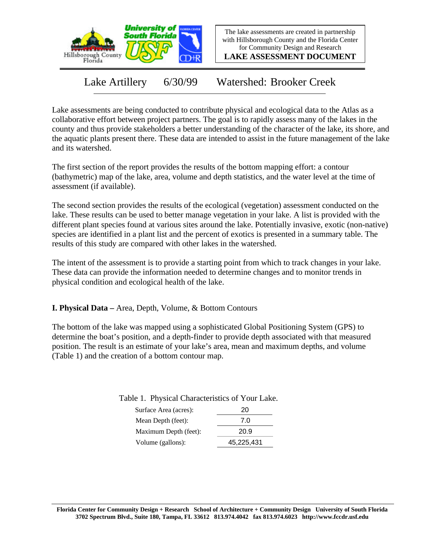

The lake assessments are created in partnership with Hillsborough County and the Florida Center for Community Design and Research

**LAKE ASSESSMENT DOCUMENT**

Lake Artillery 6/30/99 Watershed: Brooker Creek

Lake assessments are being conducted to contribute physical and ecological data to the Atlas as a collaborative effort between project partners. The goal is to rapidly assess many of the lakes in the county and thus provide stakeholders a better understanding of the character of the lake, its shore, and the aquatic plants present there. These data are intended to assist in the future management of the lake and its watershed.

The first section of the report provides the results of the bottom mapping effort: a contour (bathymetric) map of the lake, area, volume and depth statistics, and the water level at the time of assessment (if available).

The second section provides the results of the ecological (vegetation) assessment conducted on the lake. These results can be used to better manage vegetation in your lake. A list is provided with the different plant species found at various sites around the lake. Potentially invasive, exotic (non-native) species are identified in a plant list and the percent of exotics is presented in a summary table. The results of this study are compared with other lakes in the watershed.

The intent of the assessment is to provide a starting point from which to track changes in your lake. These data can provide the information needed to determine changes and to monitor trends in physical condition and ecological health of the lake.

**I. Physical Data –** Area, Depth, Volume, & Bottom Contours

The bottom of the lake was mapped using a sophisticated Global Positioning System (GPS) to determine the boat's position, and a depth-finder to provide depth associated with that measured position. The result is an estimate of your lake's area, mean and maximum depths, and volume (Table 1) and the creation of a bottom contour map.

Table 1. Physical Characteristics of Your Lake.

| Surface Area (acres): | 20         |
|-----------------------|------------|
| Mean Depth (feet):    | 7.0        |
| Maximum Depth (feet): | 20.9       |
| Volume (gallons):     | 45,225,431 |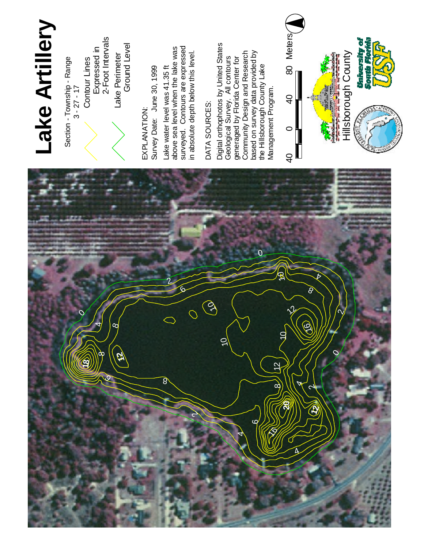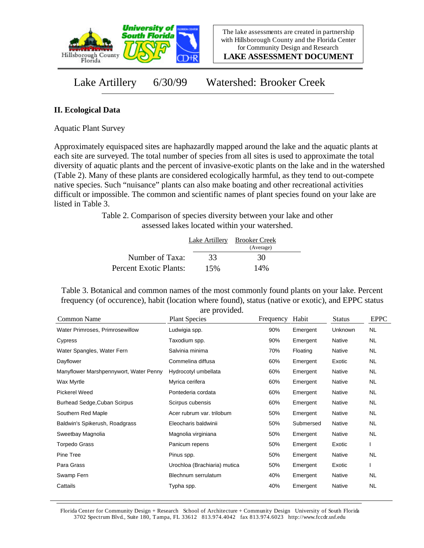

**LAKE ASSESSMENT DOCUMENT**

Lake Artillery 6/30/99 Watershed: Brooker Creek

## **II. Ecological Data**

Aquatic Plant Survey

Approximately equispaced sites are haphazardly mapped around the lake and the aquatic plants at each site are surveyed. The total number of species from all sites is used to approximate the total diversity of aquatic plants and the percent of invasive-exotic plants on the lake and in the watershed (Table 2). Many of these plants are considered ecologically harmful, as they tend to out-compete native species. Such "nuisance" plants can also make boating and other recreational activities difficult or impossible. The common and scientific names of plant species found on your lake are listed in Table 3.

> Table 2. Comparison of species diversity between your lake and other assessed lakes located within your watershed.

|                        |     | Lake Artillery Brooker Creek |  |
|------------------------|-----|------------------------------|--|
|                        |     | (Average)                    |  |
| Number of Taxa:        | 33  | 30                           |  |
| Percent Exotic Plants: | 15% | 14%                          |  |

Table 3. Botanical and common names of the most commonly found plants on your lake. Percent frequency (of occurence), habit (location where found), status (native or exotic), and EPPC status are provided.

| Common Name                            | are provided.<br><b>Plant Species</b> | Frequency | Habit     | <b>Status</b> | <b>EPPC</b> |
|----------------------------------------|---------------------------------------|-----------|-----------|---------------|-------------|
| Water Primroses, Primrosewillow        | Ludwigia spp.                         | 90%       | Emergent  | Unknown       | NL.         |
| Cypress                                | Taxodium spp.                         | 90%       | Emergent  | Native        | <b>NL</b>   |
| Water Spangles, Water Fern             | Salvinia minima                       | 70%       | Floating  | Native        | NL.         |
| Dayflower                              | Commelina diffusa                     | 60%       | Emergent  | Exotic        | NL.         |
| Manyflower Marshpennywort, Water Penny | Hydrocotyl umbellata                  | 60%       | Emergent  | Native        | NL.         |
| Wax Myrtle                             | Myrica cerifera                       | 60%       | Emergent  | Native        | NL          |
| <b>Pickerel Weed</b>                   | Pontederia cordata                    | 60%       | Emergent  | Native        | NL.         |
| Burhead Sedge, Cuban Scirpus           | Scirpus cubensis                      | 60%       | Emergent  | Native        | NL.         |
| Southern Red Maple                     | Acer rubrum var. trilobum             | 50%       | Emergent  | Native        | NL          |
| Baldwin's Spikerush, Roadgrass         | Eleocharis baldwinii                  | 50%       | Submersed | Native        | NL.         |
| Sweetbay Magnolia                      | Magnolia virginiana                   | 50%       | Emergent  | Native        | NL          |
| Torpedo Grass                          | Panicum repens                        | 50%       | Emergent  | Exotic        |             |
| Pine Tree                              | Pinus spp.                            | 50%       | Emergent  | Native        | <b>NL</b>   |
| Para Grass                             | Urochloa (Brachiaria) mutica          | 50%       | Emergent  | Exotic        |             |
| Swamp Fern                             | Blechnum serrulatum                   | 40%       | Emergent  | Native        | NL          |
| Cattails                               | Typha spp.                            | 40%       | Emergent  | Native        | <b>NL</b>   |

Florida Center for Community Design + Research School of Architecture + Community Design University of South Florida 3702 Spectrum Blvd., Suite 180, Tampa, FL 33612 813.974.4042 fax 813.974.6023 http://www.fccdr.usf.edu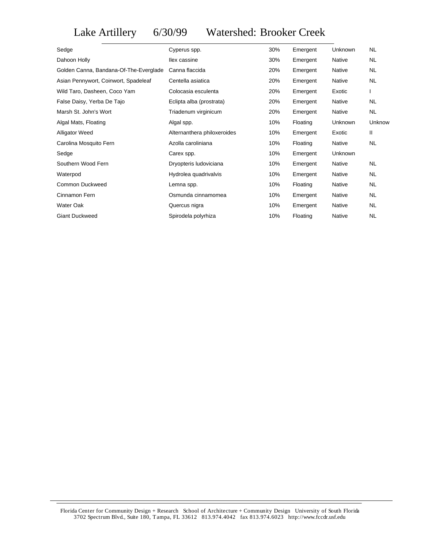## Lake Artillery 6/30/99 Watershed: Brooker Creek

| Sedge                                  | Cyperus spp.                | 30% | Emergent | Unknown | <b>NL</b>    |
|----------------------------------------|-----------------------------|-----|----------|---------|--------------|
| Dahoon Holly                           | llex cassine                | 30% | Emergent | Native  | <b>NL</b>    |
| Golden Canna, Bandana-Of-The-Everglade | Canna flaccida              | 20% | Emergent | Native  | <b>NL</b>    |
| Asian Pennywort, Coinwort, Spadeleaf   | Centella asiatica           | 20% | Emergent | Native  | NL.          |
| Wild Taro, Dasheen, Coco Yam           | Colocasia esculenta         | 20% | Emergent | Exotic  | $\mathbf{I}$ |
| False Daisy, Yerba De Tajo             | Eclipta alba (prostrata)    | 20% | Emergent | Native  | NL.          |
| Marsh St. John's Wort                  | Triadenum virginicum        | 20% | Emergent | Native  | NL.          |
| Algal Mats, Floating                   | Algal spp.                  | 10% | Floating | Unknown | Unknow       |
| <b>Alligator Weed</b>                  | Alternanthera philoxeroides | 10% | Emergent | Exotic  | Ш            |
| Carolina Mosquito Fern                 | Azolla caroliniana          | 10% | Floating | Native  | <b>NL</b>    |
| Sedge                                  | Carex spp.                  | 10% | Emergent | Unknown |              |
| Southern Wood Fern                     | Dryopteris ludoviciana      | 10% | Emergent | Native  | NL.          |
| Waterpod                               | Hydrolea quadrivalvis       | 10% | Emergent | Native  | <b>NL</b>    |
| Common Duckweed                        | Lemna spp.                  | 10% | Floating | Native  | NL.          |
| Cinnamon Fern                          | Osmunda cinnamomea          | 10% | Emergent | Native  | NL.          |
| Water Oak                              | Quercus nigra               | 10% | Emergent | Native  | NL.          |
| <b>Giant Duckweed</b>                  | Spirodela polyrhiza         | 10% | Floating | Native  | <b>NL</b>    |

Florida Center for Community Design + Research School of Architecture + Community Design University of South Florida 3702 Spectrum Blvd., Suite 180, Tampa, FL 33612 813.974.4042 fax 813.974.6023 http://www.fccdr.usf.edu